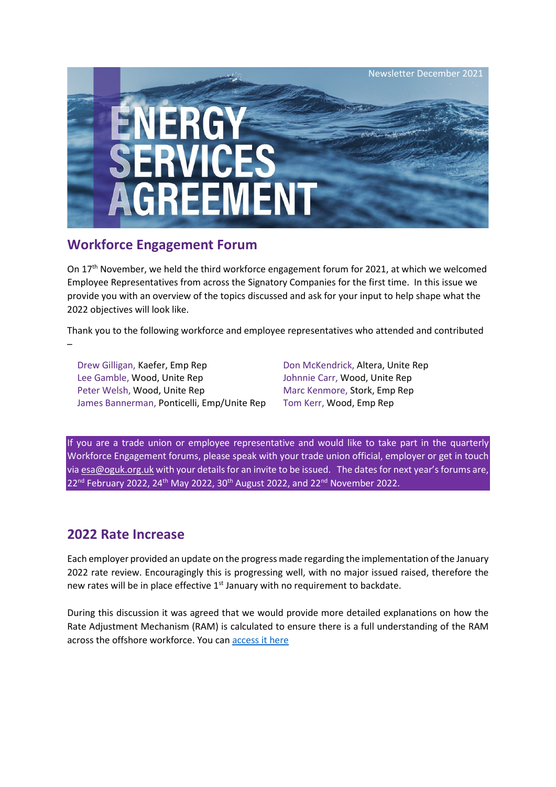

## **Workforce Engagement Forum**

On  $17<sup>th</sup>$  November, we held the third workforce engagement forum for 2021, at which we welcomed Employee Representatives from across the Signatory Companies for the first time. In this issue we provide you with an overview of the topics discussed and ask for your input to help shape what the 2022 objectives will look like.

Thank you to the following workforce and employee representatives who attended and contributed –

Drew Gilligan, Kaefer, Emp Rep Don McKendrick, Altera, Unite Rep Lee Gamble, Wood, Unite Rep Johnnie Carr, Wood, Unite Rep Peter Welsh, Wood, Unite Rep Marc Kenmore, Stork, Emp Rep James Bannerman, Ponticelli, Emp/Unite Rep Tom Kerr, Wood, Emp Rep

If you are a trade union or employee representative and would like to take part in the quarterly Workforce Engagement forums, please speak with your trade union official, employer or get in touch via [esa@oguk.org.uk](mailto:esa@oguk.org.uk) with your details for an invite to be issued. The dates for next year's forums are,  $22<sup>nd</sup>$  February 2022, 24<sup>th</sup> May 2022, 30<sup>th</sup> August 2022, and 22<sup>nd</sup> November 2022.

### **2022 Rate Increase**

Each employer provided an update on the progress made regarding the implementation of the January 2022 rate review. Encouragingly this is progressing well, with no major issued raised, therefore the new rates will be in place effective 1<sup>st</sup> January with no requirement to backdate.

During this discussion it was agreed that we would provide more detailed explanations on how the Rate Adjustment Mechanism (RAM) is calculated to ensure there is a full understanding of the RAM across the offshore workforce. You can [access it here](https://oguk.org.uk/wp-content/uploads/2021/12/ESA-Application-of-the-Rate-Adjustment-Mechanism-for-2022.pdf)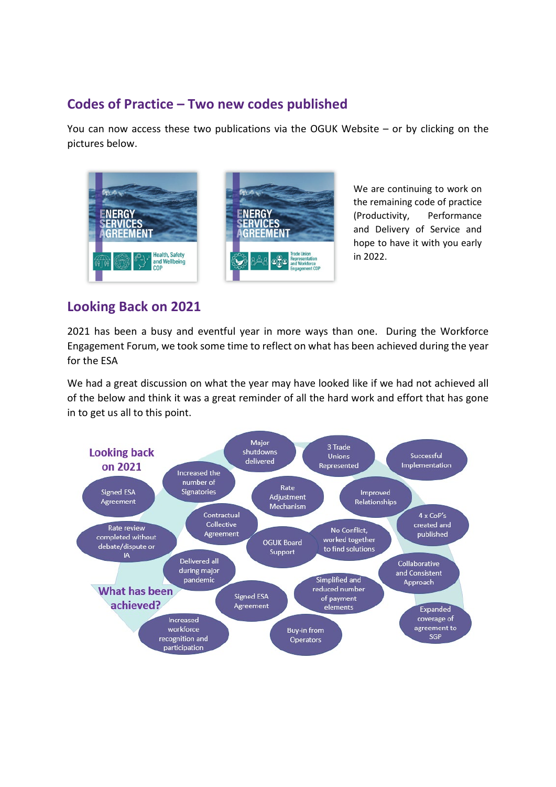# **Codes of Practice – Two new codes published**

You can now access these two publications via the OGUK Website – or by clicking on the pictures below.



We are continuing to work on the remaining code of practice (Productivity, Performance and Delivery of Service and hope to have it with you early in 2022.

## **Looking Back on 2021**

2021 has been a busy and eventful year in more ways than one. During the Workforce Engagement Forum, we took some time to reflect on what has been achieved during the year for the ESA

We had a great discussion on what the year may have looked like if we had not achieved all of the below and think it was a great reminder of all the hard work and effort that has gone in to get us all to this point.

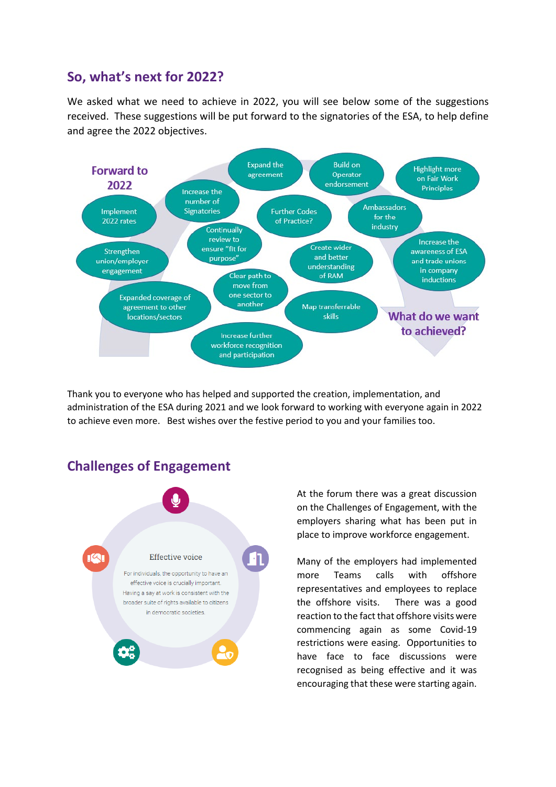### **So, what's next for 2022?**

We asked what we need to achieve in 2022, you will see below some of the suggestions received. These suggestions will be put forward to the signatories of the ESA, to help define and agree the 2022 objectives.



Thank you to everyone who has helped and supported the creation, implementation, and administration of the ESA during 2021 and we look forward to working with everyone again in 2022 to achieve even more. Best wishes over the festive period to you and your families too.

# **Challenges of Engagement**



At the forum there was a great discussion on the Challenges of Engagement, with the employers sharing what has been put in place to improve workforce engagement.

Many of the employers had implemented more Teams calls with offshore representatives and employees to replace the offshore visits. There was a good reaction to the fact that offshore visits were commencing again as some Covid-19 restrictions were easing. Opportunities to have face to face discussions were recognised as being effective and it was encouraging that these were starting again.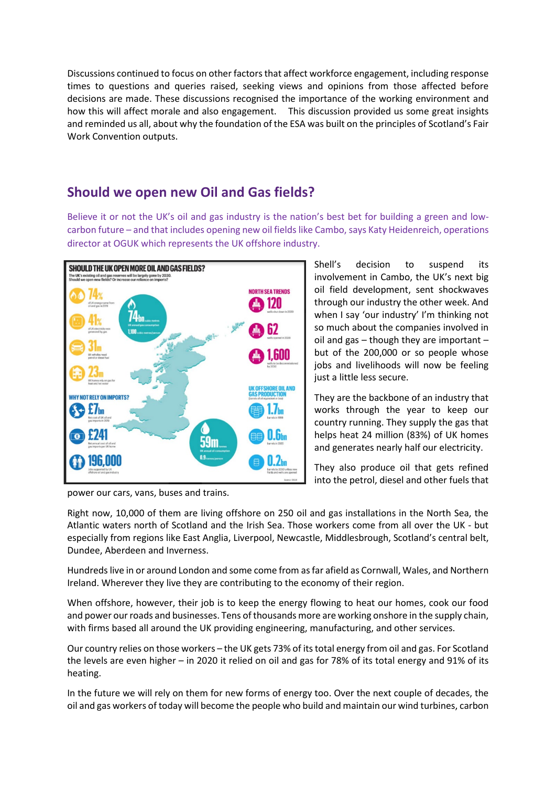Discussions continued to focus on other factors that affect workforce engagement, including response times to questions and queries raised, seeking views and opinions from those affected before decisions are made. These discussions recognised the importance of the working environment and how this will affect morale and also engagement. This discussion provided us some great insights and reminded us all, about why the foundation of the ESA was built on the principles of [Scotland's Fair](https://www.fairworkconvention.scot/the-fair-work-framework/)  [Work Convention](https://www.fairworkconvention.scot/the-fair-work-framework/) outputs.

### **Should we open new Oil and Gas fields?**

Believe it or not the UK's oil and gas industry is the nation's best bet for building a green and lowcarbon future – and that includes opening new oil fields like Cambo, says Katy Heidenreich, operations director at OGUK which represents the UK offshore industry.



Shell's decision to suspend its involvement in Cambo, the UK's next big oil field development, sent shockwaves through our industry the other week. And when I say 'our industry' I'm thinking not so much about the companies involved in oil and gas – though they are important – but of the 200,000 or so people whose jobs and livelihoods will now be feeling just a little less secure.

They are the backbone of an industry that works through the year to keep our country running. They supply the gas that helps heat 24 million (83%) of UK homes and generates nearly half our electricity.

They also produce oil that gets refined into the petrol, diesel and other fuels that

power our cars, vans, buses and trains.

Right now, 10,000 of them are living offshore on 250 oil and gas installations in the North Sea, the Atlantic waters north of Scotland and the Irish Sea. Those workers come from all over the UK - but especially from regions like East Anglia, Liverpool, Newcastle, Middlesbrough, Scotland's central belt, Dundee, Aberdeen and Inverness.

Hundreds live in or around London and some come from as far afield as Cornwall, Wales, and Northern Ireland. Wherever they live they are contributing to the economy of their region.

When offshore, however, their job is to keep the energy flowing to heat our homes, cook our food and power our roads and businesses. Tens of thousands more are working onshore in the supply chain, with firms based all around the UK providing engineering, manufacturing, and other services.

Our country relies on those workers – the UK gets 73% of its total energy from oil and gas. For Scotland the levels are even higher – in 2020 it relied on oil and gas for 78% of its total energy and 91% of its heating.

In the future we will rely on them for new forms of energy too. Over the next couple of decades, the oil and gas workers of today will become the people who build and maintain our wind turbines, carbon